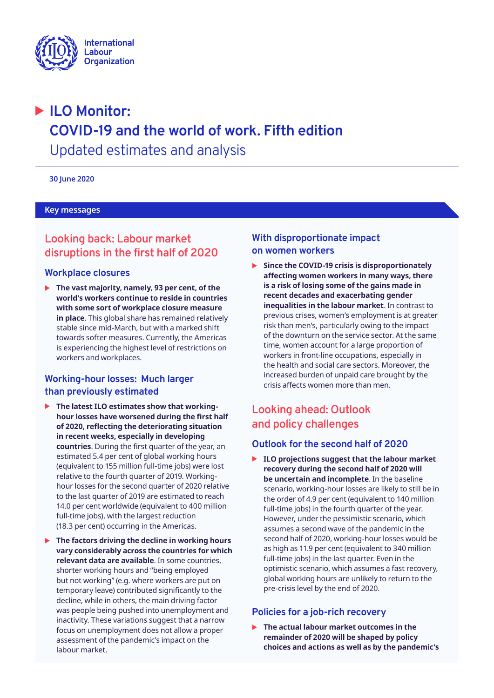

# � **ILO Monitor: COVID-19 and the world of work. Fifth edition**  Updated estimates and analysis

**30 June 2020** 

#### **Key messages**

## **Looking back: Labour market disruptions in the first half of 2020**

## **Workplace closures**

▶ The vast majority, namely, 93 per cent, of the **world's workers continue to reside in countries with some sort of workplace closure measure in place**. This global share has remained relatively stable since mid-March, but with a marked shift towards softer measures. Currently, the Americas is experiencing the highest level of restrictions on workers and workplaces.

## **Working-hour losses: Much larger than previously estimated**

- ▶ The latest ILO estimates show that working**hour losses have worsened during the first half of 2020, reflecting the deteriorating situation in recent weeks, especially in developing countries**. During the first quarter of the year, an estimated 5.4 per cent of global working hours (equivalent to 155 million full-time jobs) were lost relative to the fourth quarter of 2019. Workinghour losses for the second quarter of 2020 relative to the last quarter of 2019 are estimated to reach 14.0 per cent worldwide (equivalent to 400 million full-time jobs), with the largest reduction (18.3 per cent) occurring in the Americas.
- ▶ The factors driving the decline in working hours **vary considerably across the countries for which relevant data are available**. In some countries, shorter working hours and "being employed but not working" (e.g. where workers are put on temporary leave) contributed significantly to the decline, while in others, the main driving factor was people being pushed into unemployment and inactivity. These variations suggest that a narrow focus on unemployment does not allow a proper assessment of the pandemic's impact on the labour market.

## **With disproportionate impact on women workers**

 $\triangleright$  Since the COVID-19 crisis is disproportionately **affecting women workers in many ways, there is a risk of losing some of the gains made in recent decades and exacerbating gender inequalities in the labour market**. In contrast to previous crises, women's employment is at greater risk than men's, particularly owing to the impact of the downturn on the service sector. At the same time, women account for a large proportion of workers in front-line occupations, especially in the health and social care sectors. Moreover, the increased burden of unpaid care brought by the crisis affects women more than men.

## **Looking ahead: Outlook and policy challenges**

## **Outlook for the second half of 2020**

▶ ILO projections suggest that the labour market **recovery during the second half of 2020 will be uncertain and incomplete**. In the baseline scenario, working-hour losses are likely to still be in the order of 4.9 per cent (equivalent to 140 million full-time jobs) in the fourth quarter of the year. However, under the pessimistic scenario, which assumes a second wave of the pandemic in the second half of 2020, working-hour losses would be as high as 11.9 per cent (equivalent to 340 million full-time jobs) in the last quarter. Even in the optimistic scenario, which assumes a fast recovery, global working hours are unlikely to return to the pre-crisis level by the end of 2020.

## **Policies for a job-rich recovery**

▶ The actual labour market outcomes in the **remainder of 2020 will be shaped by policy choices and actions as well as by the pandemic's**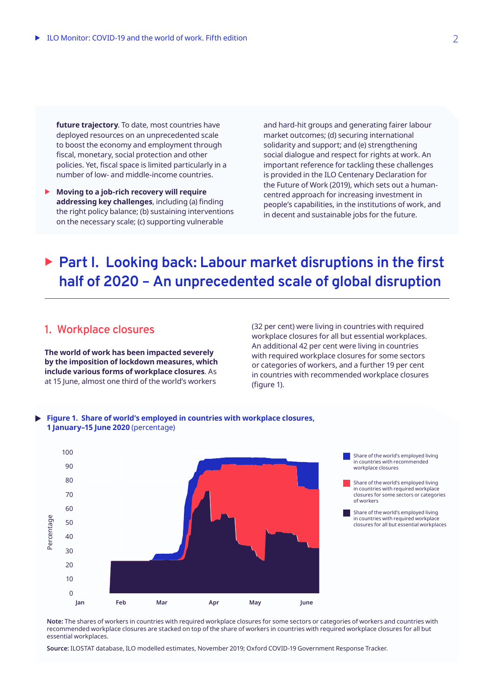**future trajectory**. To date, most countries have deployed resources on an unprecedented scale to boost the economy and employment through fiscal, monetary, social protection and other policies. Yet, fiscal space is limited particularly in a number of low- and middle-income countries.

**Moving to a job-rich recovery will require addressing key challenges**, including (a) finding the right policy balance; (b) sustaining interventions on the necessary scale; (c) supporting vulnerable

and hard-hit groups and generating fairer labour market outcomes; (d) securing international solidarity and support; and (e) strengthening social dialogue and respect for rights at work. An important reference for tackling these challenges is provided in the ILO Centenary Declaration for the Future of Work (2019), which sets out a humancentred approach for increasing investment in people's capabilities, in the institutions of work, and in decent and sustainable jobs for the future.

# ▶ Part I. Looking back: Labour market disruptions in the first **half of 2020 – An unprecedented scale of global disruption**

## **1. Workplace closures**

**The world of work has been impacted severely by the imposition of lockdown measures, which include various forms of workplace closures**. As at 15 June, almost one third of the world's workers

(32 per cent) were living in countries with required workplace closures for all but essential workplaces. An additional 42 per cent were living in countries with required workplace closures for some sectors or categories of workers, and a further 19 per cent in countries with recommended workplace closures (figure 1).



**Figure 1. Share of world's employed in countries with workplace closures, 1 January–15 June 2020** (percentage)

**Note:** The shares of workers in countries with required workplace closures for some sectors or categories of workers and countries with recommended workplace closures are stacked on top of the share of workers in countries with required workplace closures for all but essential workplaces.

**Source:** ILOSTAT database, ILO modelled estimates, November 2019; Oxford COVID-19 Government Response Tracker.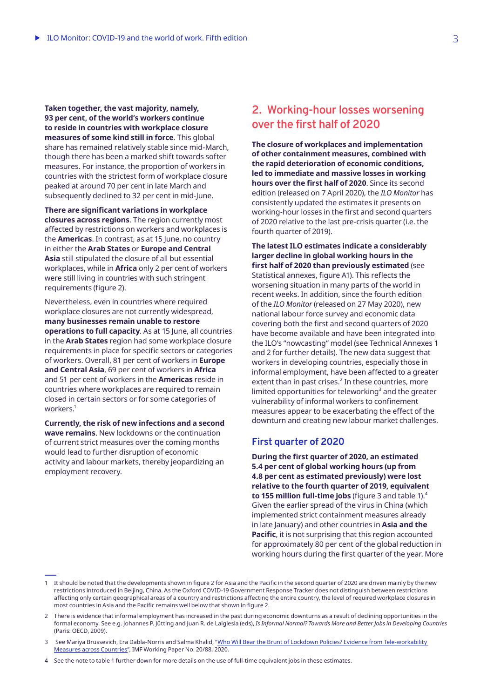**Taken together, the vast majority, namely, 93 per cent, of the world's workers continue to reside in countries with workplace closure measures of some kind still in force**. This global share has remained relatively stable since mid-March, though there has been a marked shift towards softer measures. For instance, the proportion of workers in countries with the strictest form of workplace closure peaked at around 70 per cent in late March and subsequently declined to 32 per cent in mid-June.

**There are significant variations in workplace closures across regions**. The region currently most affected by restrictions on workers and workplaces is the **Americas**. In contrast, as at 15 June, no country in either the **Arab States** or **Europe and Central Asia** still stipulated the closure of all but essential workplaces, while in **Africa** only 2 per cent of workers were still living in countries with such stringent requirements (figure 2).

Nevertheless, even in countries where required workplace closures are not currently widespread, **many businesses remain unable to restore operations to full capacity**. As at 15 June, all countries in the **Arab States** region had some workplace closure requirements in place for specific sectors or categories of workers. Overall, 81 per cent of workers in **Europe and Central Asia**, 69 per cent of workers in **Africa** and 51 per cent of workers in the **Americas** reside in countries where workplaces are required to remain closed in certain sectors or for some categories of workers<sup>1</sup>

**Currently, the risk of new infections and a second wave remains**. New lockdowns or the continuation of current strict measures over the coming months would lead to further disruption of economic activity and labour markets, thereby jeopardizing an employment recovery.

## **2. Working-hour losses worsening over the first half of 2020**

**The closure of workplaces and implementation of other containment measures, combined with the rapid deterioration of economic conditions, led to immediate and massive losses in working hours over the first half of 2020**. Since its second edition (released on 7 April 2020), the *ILO Monitor* has consistently updated the estimates it presents on working-hour losses in the first and second quarters of 2020 relative to the last pre-crisis quarter (i.e. the fourth quarter of 2019).

**The latest ILO estimates indicate a considerably larger decline in global working hours in the first half of 2020 than previously estimated** (see Statistical annexes, figure A1). This reflects the worsening situation in many parts of the world in recent weeks. In addition, since the fourth edition of the *ILO Monitor* (released on 27 May 2020), new national labour force survey and economic data covering both the first and second quarters of 2020 have become available and have been integrated into the ILO's "nowcasting" model (see Technical Annexes 1 and 2 for further details). The new data suggest that workers in developing countries, especially those in informal employment, have been affected to a greater extent than in past crises. $<sup>2</sup>$  In these countries, more</sup> limited opportunities for teleworking<sup>3</sup> and the greater vulnerability of informal workers to confinement measures appear to be exacerbating the effect of the downturn and creating new labour market challenges.

### **First quarter of 2020**

**During the first quarter of 2020, an estimated 5.4 per cent of global working hours (up from 4.8 per cent as estimated previously) were lost relative to the fourth quarter of 2019, equivalent to 155 million full-time jobs** (figure 3 and table 1).<sup>4</sup> Given the earlier spread of the virus in China (which implemented strict containment measures already in late January) and other countries in **Asia and the Pacific**, it is not surprising that this region accounted for approximately 80 per cent of the global reduction in working hours during the first quarter of the year. More

<sup>1</sup> It should be noted that the developments shown in figure 2 for Asia and the Pacific in the second quarter of 2020 are driven mainly by the new restrictions introduced in Beijing, China. As the Oxford COVID-19 Government Response Tracker does not distinguish between restrictions affecting only certain geographical areas of a country and restrictions affecting the entire country, the level of required workplace closures in most countries in Asia and the Pacific remains well below that shown in figure 2.

<sup>2</sup> There is evidence that informal employment has increased in the past during economic downturns as a result of declining opportunities in the formal economy. See e.g. Johannes P. Jütting and Juan R. de Laiglesia (eds), *Is Informal Normal? Towards More and Better Jobs in Developing Countries* (Paris: OECD, 2009).

<sup>3</sup> See Mariya Brussevich, Era Dabla-Norris and Salma Khalid, "[Who Will Bear the Brunt of Lockdown Policies? Evidence from Tele-workability](https://www.imf.org/en/Publications/WP/Issues/2020/06/12/Who-will-Bear-the-Brunt-of-Lockdown-Policies-Evidence-from-Tele-workability-Measures-Across-49479)  [Measures across Countries"](https://www.imf.org/en/Publications/WP/Issues/2020/06/12/Who-will-Bear-the-Brunt-of-Lockdown-Policies-Evidence-from-Tele-workability-Measures-Across-49479), IMF Working Paper No. 20/88, 2020.

<sup>4</sup> See the note to table 1 further down for more details on the use of full-time equivalent jobs in these estimates.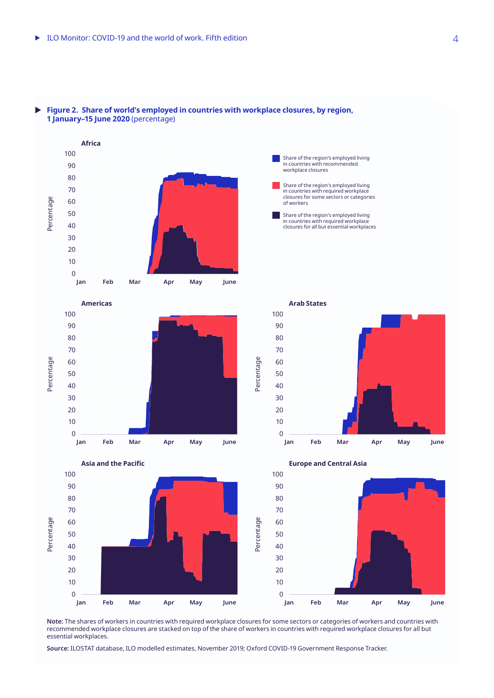

#### **Figure 2. Share of world's employed in countries with workplace closures, by region,**   $\blacktriangleright$ **1 January–15 June 2020** (percentage)





**Americas**

Percentage

Percentage



Share of the region's employed living in countries with required workplace closures for all but essential workplaces

Share of the region's employed living in countries with required workplace closures for some sectors or categories

Share of the region's employed living in countries with recommended workplace closures

of workers



**Note:** The shares of workers in countries with required workplace closures for some sectors or categories of workers and countries with recommended workplace closures are stacked on top of the share of workers in countries with required workplace closures for all but essential workplaces.

**Source:** ILOSTAT database, ILO modelled estimates, November 2019; Oxford COVID-19 Government Response Tracker.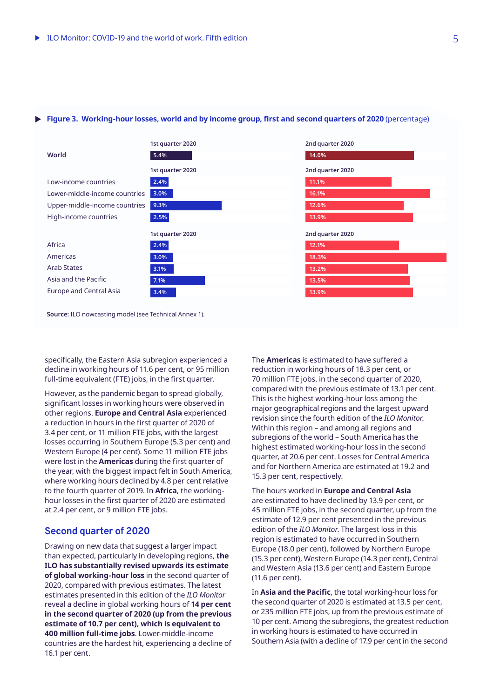#### **Figure 3. Working-hour losses, world and by income group, first and second quarters of 2020** (percentage)



**Source:** ILO nowcasting model (see Technical Annex 1).

specifically, the Eastern Asia subregion experienced a decline in working hours of 11.6 per cent, or 95 million full-time equivalent (FTE) jobs, in the first quarter.

However, as the pandemic began to spread globally, significant losses in working hours were observed in other regions. **Europe and Central Asia** experienced a reduction in hours in the first quarter of 2020 of 3.4 per cent, or 11 million FTE jobs, with the largest losses occurring in Southern Europe (5.3 per cent) and Western Europe (4 per cent). Some 11 million FTE jobs were lost in the **Americas** during the first quarter of the year, with the biggest impact felt in South America, where working hours declined by 4.8 per cent relative to the fourth quarter of 2019. In **Africa**, the workinghour losses in the first quarter of 2020 are estimated at 2.4 per cent, or 9 million FTE jobs.

## **Second quarter of 2020**

Drawing on new data that suggest a larger impact than expected, particularly in developing regions, **the ILO has substantially revised upwards its estimate of global working-hour loss** in the second quarter of 2020, compared with previous estimates. The latest estimates presented in this edition of the *ILO Monitor* reveal a decline in global working hours of **14 per cent in the second quarter of 2020 (up from the previous estimate of 10.7 per cent), which is equivalent to 400 million full-time jobs**. Lower-middle-income countries are the hardest hit, experiencing a decline of 16.1 per cent.

The **Americas** is estimated to have suffered a reduction in working hours of 18.3 per cent, or 70 million FTE jobs, in the second quarter of 2020, compared with the previous estimate of 13.1 per cent. This is the highest working-hour loss among the major geographical regions and the largest upward revision since the fourth edition of the *ILO Monitor*. Within this region – and among all regions and subregions of the world – South America has the highest estimated working-hour loss in the second quarter, at 20.6 per cent. Losses for Central America and for Northern America are estimated at 19.2 and 15.3 per cent, respectively.

The hours worked in **Europe and Central Asia** are estimated to have declined by 13.9 per cent, or 45 million FTE jobs, in the second quarter, up from the estimate of 12.9 per cent presented in the previous edition of the *ILO Monitor*. The largest loss in this region is estimated to have occurred in Southern Europe (18.0 per cent), followed by Northern Europe (15.3 per cent), Western Europe (14.3 per cent), Central and Western Asia (13.6 per cent) and Eastern Europe (11.6 per cent).

In **Asia and the Pacific**, the total working-hour loss for the second quarter of 2020 is estimated at 13.5 per cent, or 235 million FTE jobs, up from the previous estimate of 10 per cent. Among the subregions, the greatest reduction in working hours is estimated to have occurred in Southern Asia (with a decline of 17.9 per cent in the second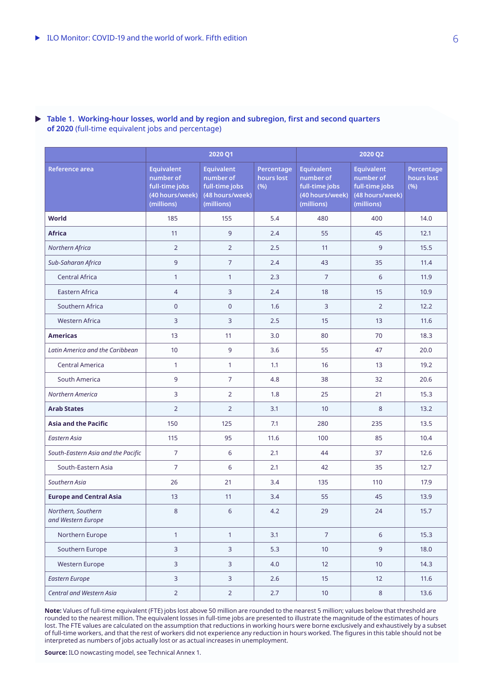### **Table 1. Working-hour losses, world and by region and subregion, first and second quarters of 2020** (full-time equivalent jobs and percentage)

|                                          | 2020 Q1                                                                           |                                                                                   |                                 | 2020 Q2                                                                           |                                                                                   |                                 |  |
|------------------------------------------|-----------------------------------------------------------------------------------|-----------------------------------------------------------------------------------|---------------------------------|-----------------------------------------------------------------------------------|-----------------------------------------------------------------------------------|---------------------------------|--|
| <b>Reference area</b>                    | <b>Equivalent</b><br>number of<br>full-time jobs<br>(40 hours/week)<br>(millions) | <b>Equivalent</b><br>number of<br>full-time jobs<br>(48 hours/week)<br>(millions) | Percentage<br>hours lost<br>(%) | <b>Equivalent</b><br>number of<br>full-time jobs<br>(40 hours/week)<br>(millions) | <b>Equivalent</b><br>number of<br>full-time jobs<br>(48 hours/week)<br>(millions) | Percentage<br>hours lost<br>(%) |  |
| World                                    | 185                                                                               | 155                                                                               | 5.4                             | 480                                                                               | 400                                                                               | 14.0                            |  |
| <b>Africa</b>                            | 11                                                                                | 9                                                                                 | 2.4                             | 55                                                                                | 45                                                                                | 12.1                            |  |
| Northern Africa                          | $\overline{2}$                                                                    | $\overline{2}$                                                                    | 2.5                             | 11                                                                                | 9                                                                                 | 15.5                            |  |
| Sub-Saharan Africa                       | 9                                                                                 | $\overline{7}$                                                                    | 2.4                             | 43                                                                                | 35                                                                                | 11.4                            |  |
| <b>Central Africa</b>                    | $\mathbf{1}$                                                                      | $\mathbf{1}$                                                                      | 2.3                             | $\overline{7}$                                                                    | 6                                                                                 | 11.9                            |  |
| Eastern Africa                           | 4                                                                                 | 3                                                                                 | 2.4                             | 18                                                                                | 15                                                                                | 10.9                            |  |
| Southern Africa                          | $\mathbf 0$                                                                       | $\mathsf{O}\xspace$                                                               | 1.6                             | 3                                                                                 | $\overline{2}$                                                                    | 12.2                            |  |
| <b>Western Africa</b>                    | 3                                                                                 | 3                                                                                 | 2.5                             | 15                                                                                | 13                                                                                | 11.6                            |  |
| <b>Americas</b>                          | 13                                                                                | 11                                                                                | 3.0                             | 80                                                                                | 70                                                                                | 18.3                            |  |
| Latin America and the Caribbean          | 10                                                                                | 9                                                                                 | 3.6                             | 55                                                                                | 47                                                                                | 20.0                            |  |
| <b>Central America</b>                   | 1                                                                                 | $\mathbf{1}$                                                                      | 1.1                             | 16                                                                                | 13                                                                                | 19.2                            |  |
| South America                            | 9                                                                                 | $\overline{7}$                                                                    | 4.8                             | 38                                                                                | 32                                                                                | 20.6                            |  |
| Northern America                         | 3                                                                                 | $\overline{2}$                                                                    | 1.8                             | 25                                                                                | 21                                                                                | 15.3                            |  |
| <b>Arab States</b>                       | $\overline{2}$                                                                    | $\overline{2}$                                                                    | 3.1                             | 10                                                                                | 8                                                                                 | 13.2                            |  |
| <b>Asia and the Pacific</b>              | 150                                                                               | 125                                                                               | 7.1                             | 280                                                                               | 235                                                                               | 13.5                            |  |
| Eastern Asia                             | 115                                                                               | 95                                                                                | 11.6                            | 100                                                                               | 85                                                                                | 10.4                            |  |
| South-Eastern Asia and the Pacific       | $\overline{7}$                                                                    | 6                                                                                 | 2.1                             | 44                                                                                | 37                                                                                | 12.6                            |  |
| South-Eastern Asia                       | $\overline{7}$                                                                    | 6                                                                                 | 2.1                             | 42                                                                                | 35                                                                                | 12.7                            |  |
| Southern Asia                            | 26                                                                                | 21                                                                                | 3.4                             | 135                                                                               | 110                                                                               | 17.9                            |  |
| <b>Europe and Central Asia</b>           | 13                                                                                | 11                                                                                | 3.4                             | 55                                                                                | 45                                                                                | 13.9                            |  |
| Northern, Southern<br>and Western Europe | $\bf 8$                                                                           | 6                                                                                 | 4.2                             | 29                                                                                | 24                                                                                | 15.7                            |  |
| Northern Europe                          | $\mathbf{1}$                                                                      | $\mathbf{1}$                                                                      | 3.1                             | $\overline{7}$                                                                    | $6\,$                                                                             | 15.3                            |  |
| Southern Europe                          | 3                                                                                 | $\overline{3}$                                                                    | 5.3                             | 10                                                                                | $\overline{9}$                                                                    | 18.0                            |  |
| <b>Western Europe</b>                    | 3                                                                                 | 3                                                                                 | 4.0                             | 12                                                                                | 10                                                                                | 14.3                            |  |
| <b>Eastern Europe</b>                    | 3                                                                                 | 3                                                                                 | 2.6                             | 15                                                                                | 12                                                                                | 11.6                            |  |
| Central and Western Asia                 | $\overline{2}$                                                                    | $\overline{2}$                                                                    | 2.7                             | 10                                                                                | $\,8\,$                                                                           | 13.6                            |  |

**Note:** Values of full-time equivalent (FTE) jobs lost above 50 million are rounded to the nearest 5 million; values below that threshold are rounded to the nearest million. The equivalent losses in full-time jobs are presented to illustrate the magnitude of the estimates of hours lost. The FTE values are calculated on the assumption that reductions in working hours were borne exclusively and exhaustively by a subset of full-time workers, and that the rest of workers did not experience any reduction in hours worked. The figures in this table should not be interpreted as numbers of jobs actually lost or as actual increases in unemployment.

**Source:** ILO nowcasting model, see Technical Annex 1.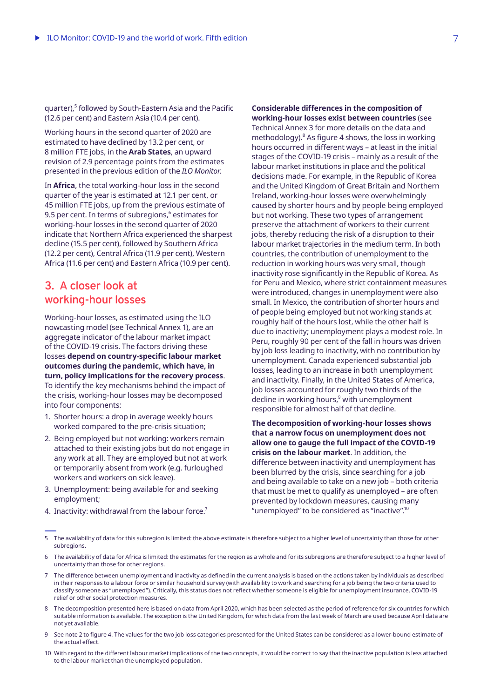quarter),<sup>5</sup> followed by South-Eastern Asia and the Pacific (12.6 per cent) and Eastern Asia (10.4 per cent).

Working hours in the second quarter of 2020 are estimated to have declined by 13.2 per cent, or 8 million FTE jobs, in the **Arab States**, an upward revision of 2.9 percentage points from the estimates presented in the previous edition of the *ILO Monitor*.

In **Africa**, the total working-hour loss in the second quarter of the year is estimated at 12.1 per cent, or 45 million FTE jobs, up from the previous estimate of 9.5 per cent. In terms of subregions, $^6$  estimates for working-hour losses in the second quarter of 2020 indicate that Northern Africa experienced the sharpest decline (15.5 per cent), followed by Southern Africa (12.2 per cent), Central Africa (11.9 per cent), Western Africa (11.6 per cent) and Eastern Africa (10.9 per cent).

## **3. A closer look at working-hour losses**

Working-hour losses, as estimated using the ILO nowcasting model (see Technical Annex 1), are an aggregate indicator of the labour market impact of the COVID-19 crisis. The factors driving these losses **depend on country-specific labour market outcomes during the pandemic, which have, in turn, policy implications for the recovery process**. To identify the key mechanisms behind the impact of the crisis, working-hour losses may be decomposed into four components:

- 1. Shorter hours: a drop in average weekly hours worked compared to the pre-crisis situation;
- 2. Being employed but not working: workers remain attached to their existing jobs but do not engage in any work at all. They are employed but not at work or temporarily absent from work (e.g. furloughed workers and workers on sick leave).
- 3. Unemployment: being available for and seeking employment;
- 4. Inactivity: withdrawal from the labour force.<sup>7</sup>

**Considerable differences in the composition of working-hour losses exist between countries** (see

Technical Annex 3 for more details on the data and methodology). $8$  As figure 4 shows, the loss in working hours occurred in different ways – at least in the initial stages of the COVID-19 crisis – mainly as a result of the labour market institutions in place and the political decisions made. For example, in the Republic of Korea and the United Kingdom of Great Britain and Northern Ireland, working-hour losses were overwhelmingly caused by shorter hours and by people being employed but not working. These two types of arrangement preserve the attachment of workers to their current jobs, thereby reducing the risk of a disruption to their labour market trajectories in the medium term. In both countries, the contribution of unemployment to the reduction in working hours was very small, though inactivity rose significantly in the Republic of Korea. As for Peru and Mexico, where strict containment measures were introduced, changes in unemployment were also small. In Mexico, the contribution of shorter hours and of people being employed but not working stands at roughly half of the hours lost, while the other half is due to inactivity; unemployment plays a modest role. In Peru, roughly 90 per cent of the fall in hours was driven by job loss leading to inactivity, with no contribution by unemployment. Canada experienced substantial job losses, leading to an increase in both unemployment and inactivity. Finally, in the United States of America, job losses accounted for roughly two thirds of the decline in working hours,<sup>9</sup> with unemployment responsible for almost half of that decline.

**The decomposition of working-hour losses shows that a narrow focus on unemployment does not allow one to gauge the full impact of the COVID-19 crisis on the labour market**. In addition, the difference between inactivity and unemployment has been blurred by the crisis, since searching for a job and being available to take on a new job – both criteria that must be met to qualify as unemployed – are often prevented by lockdown measures, causing many "unemployed" to be considered as "inactive".<sup>10</sup>

- 7 The difference between unemployment and inactivity as defined in the current analysis is based on the actions taken by individuals as described in their responses to a labour force or similar household survey (with availability to work and searching for a job being the two criteria used to classify someone as "unemployed"). Critically, this status does not reflect whether someone is eligible for unemployment insurance, COVID-19 relief or other social protection measures.
- 8 The decomposition presented here is based on data from April 2020, which has been selected as the period of reference for six countries for which suitable information is available. The exception is the United Kingdom, for which data from the last week of March are used because April data are not yet available.
- 9 See note 2 to figure 4. The values for the two job loss categories presented for the United States can be considered as a lower-bound estimate of the actual effect.
- 10 With regard to the different labour market implications of the two concepts, it would be correct to say that the inactive population is less attached to the labour market than the unemployed population.

<sup>5</sup> The availability of data for this subregion is limited: the above estimate is therefore subject to a higher level of uncertainty than those for other subregions.

<sup>6</sup> The availability of data for Africa is limited: the estimates for the region as a whole and for its subregions are therefore subject to a higher level of uncertainty than those for other regions.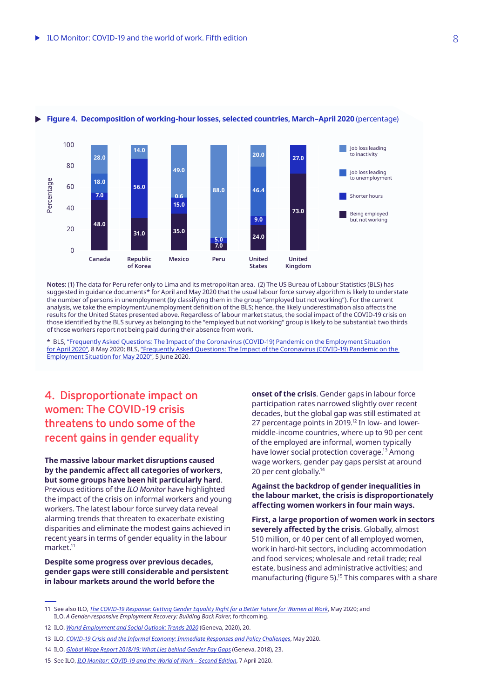

#### **Figure 4. Decomposition of working-hour losses, selected countries, March–April 2020** (percentage)

**Notes:** (1) The data for Peru refer only to Lima and its metropolitan area. (2) The US Bureau of Labour Statistics (BLS) has suggested in guidance documents\* for April and May 2020 that the usual labour force survey algorithm is likely to understate the number of persons in unemployment (by classifying them in the group "employed but not working"). For the current analysis, we take the employment/unemployment definition of the BLS; hence, the likely underestimation also affects the results for the United States presented above. Regardless of labour market status, the social impact of the COVID-19 crisis on those identified by the BLS survey as belonging to the "employed but not working" group is likely to be substantial: two thirds of those workers report not being paid during their absence from work.

\* BLS, ["Frequently Asked Questions: The Impact of the Coronavirus \(COVID-19\) Pandemic on the Employment Situation](https://www.bls.gov/cps/employment-situation-covid19-faq-april-2020.pdf)  [for April 2020"](https://www.bls.gov/cps/employment-situation-covid19-faq-april-2020.pdf), 8 May 2020; BLS, ["Frequently Asked Questions: The Impact of the Coronavirus \(COVID-19\) Pandemic on the](https://www.bls.gov/cps/employment-situation-covid19-faq-may-2020.pdf)  [Employment Situation for May 2020",](https://www.bls.gov/cps/employment-situation-covid19-faq-may-2020.pdf) 5 June 2020.

## **4. Disproportionate impact on women: The COVID-19 crisis threatens to undo some of the recent gains in gender equality**

**The massive labour market disruptions caused by the pandemic affect all categories of workers, but some groups have been hit particularly hard**. Previous editions of the *ILO Monitor* have highlighted the impact of the crisis on informal workers and young workers. The latest labour force survey data reveal alarming trends that threaten to exacerbate existing disparities and eliminate the modest gains achieved in recent years in terms of gender equality in the labour market.<sup>11</sup>

**Despite some progress over previous decades, gender gaps were still considerable and persistent in labour markets around the world before the** 

**onset of the crisis**. Gender gaps in labour force participation rates narrowed slightly over recent decades, but the global gap was still estimated at 27 percentage points in 2019.<sup>12</sup> In low- and lowermiddle-income countries, where up to 90 per cent of the employed are informal, women typically have lower social protection coverage.<sup>13</sup> Among wage workers, gender pay gaps persist at around 20 per cent globally.14

**Against the backdrop of gender inequalities in the labour market, the crisis is disproportionately affecting women workers in four main ways.**

**First, a large proportion of women work in sectors severely affected by the crisis**. Globally, almost 510 million, or 40 per cent of all employed women, work in hard-hit sectors, including accommodation and food services; wholesale and retail trade; real estate, business and administrative activities; and manufacturing (figure 5).<sup>15</sup> This compares with a share

<sup>11</sup> See also ILO, *[The COVID-19 Response: Getting Gender Equality Right for a Better Future for Women at Work](https://www.ilo.org/wcmsp5/groups/public/---dgreports/---gender/documents/publication/wcms_744374.pdf)*, May 2020; and ILO, *A Gender-responsive Employment Recovery: Building Back Fairer*, forthcoming.

<sup>12</sup> ILO, *[World Employment and Social Outlook: Trends 2020](https://www.ilo.org/wcmsp5/groups/public/---dgreports/---dcomm/---publ/documents/publication/wcms_734455.pdf)* (Geneva, 2020), 20.

<sup>13</sup> ILO, *[COVID-19 Crisis and the Informal Economy: Immediate Responses and Policy Challenges](https://www.ilo.org/wcmsp5/groups/public/---ed_protect/---protrav/---travail/documents/briefingnote/wcms_743623.pdf)*, May 2020.

<sup>14</sup> ILO, *[Global Wage Report 2018/19: What Lies behind Gender Pay Gaps](https://www.ilo.org/wcmsp5/groups/public/---dgreports/---dcomm/---publ/documents/publication/wcms_650553.pdf)* (Geneva, 2018), 23.

<sup>15</sup> See ILO, *[ILO Monitor: COVID-19 and the World of Work – Second Edition](https://www.ilo.org/wcmsp5/groups/public/---dgreports/---dcomm/documents/briefingnote/wcms_740877.pdf)*, 7 April 2020.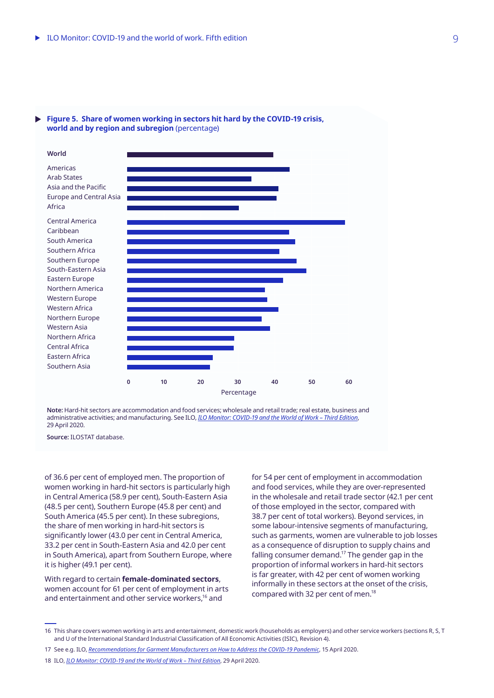#### **Figure 5. Share of women working in sectors hit hard by the COVID-19 crisis, world and by region and subregion** (percentage)



**Note:** Hard-hit sectors are accommodation and food services; wholesale and retail trade; real estate, business and administrative activities; and manufacturing. See ILO, *[ILO Monitor: COVID-19 and the World of Work – Third Edition](https://www.ilo.org/wcmsp5/groups/public/@dgreports/@dcomm/documents/briefingnote/wcms_743146.pdf)*, 29 April 2020.

**Source:** ILOSTAT database.

of 36.6 per cent of employed men. The proportion of women working in hard-hit sectors is particularly high in Central America (58.9 per cent), South-Eastern Asia (48.5 per cent), Southern Europe (45.8 per cent) and South America (45.5 per cent). In these subregions, the share of men working in hard-hit sectors is significantly lower (43.0 per cent in Central America, 33.2 per cent in South-Eastern Asia and 42.0 per cent in South America), apart from Southern Europe, where it is higher (49.1 per cent).

With regard to certain **female-dominated sectors**, women account for 61 per cent of employment in arts and entertainment and other service workers,<sup>16</sup> and

for 54 per cent of employment in accommodation and food services, while they are over-represented in the wholesale and retail trade sector (42.1 per cent of those employed in the sector, compared with 38.7 per cent of total workers). Beyond services, in some labour-intensive segments of manufacturing, such as garments, women are vulnerable to job losses as a consequence of disruption to supply chains and falling consumer demand.<sup>17</sup> The gender gap in the proportion of informal workers in hard-hit sectors is far greater, with 42 per cent of women working informally in these sectors at the onset of the crisis, compared with 32 per cent of men.<sup>18</sup>

<sup>16</sup> This share covers women working in arts and entertainment, domestic work (households as employers) and other service workers (sections R, S, T and U of the International Standard Industrial Classification of All Economic Activities (ISIC), Revision 4).

<sup>17</sup> See e.g. ILO, *[Recommendations for Garment Manufacturers on How to Address the COVID-19 Pandemic](https://www.ilo.org/wcmsp5/groups/public/---asia/---ro-bangkok/documents/briefingnote/wcms_741642.pdf)*, 15 April 2020.

<sup>18</sup> ILO, *[ILO Monitor: COVID-19 and the World of Work – Third Edition](https://www.ilo.org/wcmsp5/groups/public/@dgreports/@dcomm/documents/briefingnote/wcms_743146.pdf)*, 29 April 2020.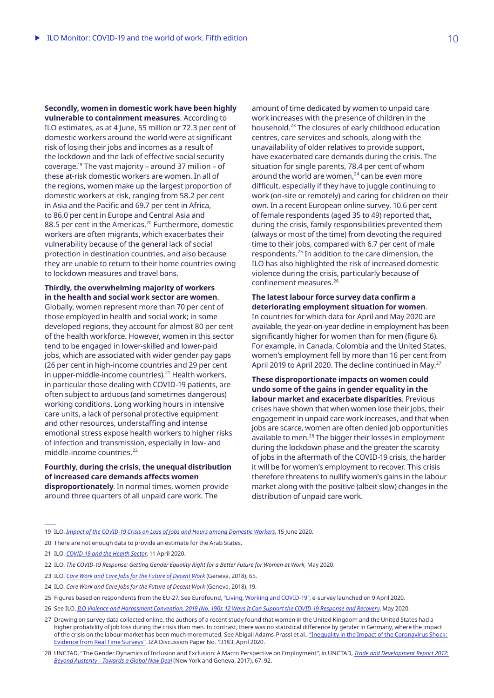**Secondly, women in domestic work have been highly vulnerable to containment measures**. According to ILO estimates, as at 4 June, 55 million or 72.3 per cent of domestic workers around the world were at significant risk of losing their jobs and incomes as a result of the lockdown and the lack of effective social security coverage.<sup>19</sup> The vast majority – around 37 million – of these at-risk domestic workers are women. In all of the regions, women make up the largest proportion of domestic workers at risk, ranging from 58.2 per cent in Asia and the Pacific and 69.7 per cent in Africa, to 86.0 per cent in Europe and Central Asia and 88.5 per cent in the Americas.<sup>20</sup> Furthermore, domestic workers are often migrants, which exacerbates their vulnerability because of the general lack of social protection in destination countries, and also because they are unable to return to their home countries owing to lockdown measures and travel bans.

**Thirdly, the overwhelming majority of workers in the health and social work sector are women**. Globally, women represent more than 70 per cent of those employed in health and social work; in some developed regions, they account for almost 80 per cent of the health workforce. However, women in this sector tend to be engaged in lower-skilled and lower-paid jobs, which are associated with wider gender pay gaps (26 per cent in high-income countries and 29 per cent in upper-middle-income countries). $21$  Health workers, in particular those dealing with COVID-19 patients, are often subject to arduous (and sometimes dangerous) working conditions. Long working hours in intensive care units, a lack of personal protective equipment and other resources, understaffing and intense emotional stress expose health workers to higher risks of infection and transmission, especially in low- and middle-income countries.<sup>22</sup>

**Fourthly, during the crisis, the unequal distribution of increased care demands affects women disproportionately**. In normal times, women provide around three quarters of all unpaid care work. The

amount of time dedicated by women to unpaid care work increases with the presence of children in the household.<sup>23</sup> The closures of early childhood education centres, care services and schools, along with the unavailability of older relatives to provide support, have exacerbated care demands during the crisis. The situation for single parents, 78.4 per cent of whom around the world are women, $24$  can be even more difficult, especially if they have to juggle continuing to work (on-site or remotely) and caring for children on their own. In a recent European online survey, 10.6 per cent of female respondents (aged 35 to 49) reported that, during the crisis, family responsibilities prevented them (always or most of the time) from devoting the required time to their jobs, compared with 6.7 per cent of male respondents.<sup>25</sup> In addition to the care dimension, the ILO has also highlighted the risk of increased domestic violence during the crisis, particularly because of confinement measures.<sup>26</sup>

#### **The latest labour force survey data confirm a deteriorating employment situation for women**.

In countries for which data for April and May 2020 are available, the year-on-year decline in employment has been significantly higher for women than for men (figure 6). For example, in Canada, Colombia and the United States, women's employment fell by more than 16 per cent from April 2019 to April 2020. The decline continued in May.<sup>27</sup>

**These disproportionate impacts on women could undo some of the gains in gender equality in the labour market and exacerbate disparities**. Previous crises have shown that when women lose their jobs, their engagement in unpaid care work increases, and that when jobs are scarce, women are often denied job opportunities available to men.<sup>28</sup> The bigger their losses in employment during the lockdown phase and the greater the scarcity of jobs in the aftermath of the COVID-19 crisis, the harder it will be for women's employment to recover. This crisis therefore threatens to nullify women's gains in the labour market along with the positive (albeit slow) changes in the distribution of unpaid care work.

19 ILO, *[Impact of the COVID-19 Crisis on Loss of Jobs and Hours among Domestic Workers](https://www.ilo.org/wcmsp5/groups/public/---ed_protect/---protrav/---travail/documents/publication/wcms_747961.pdf)*, 15 June 2020.

- 20 There are not enough data to provide an estimate for the Arab States.
- 21 ILO, *[COVID-19 and the Health Sector](https://www.ilo.org/wcmsp5/groups/public/---ed_dialogue/---sector/documents/briefingnote/wcms_741655.pdf)*, 11 April 2020.
- 22 ILO, *The COVID-19 Response: Getting Gender Equality Right for a Better Future for Women at Work*, May 2020.
- 23 ILO, *[Care Work and Care Jobs for the Future of Decent Work](https://www.ilo.org/wcmsp5/groups/public/---dgreports/---dcomm/---publ/documents/publication/wcms_633135.pdf)* (Geneva, 2018), 65.
- 24 ILO, *[Care Work and Care Jobs for the Future of Decent Work](https://www.ilo.org/wcmsp5/groups/public/---dgreports/---dcomm/---publ/documents/publication/wcms_633135.pdf)* (Geneva, 2018), 19.
- 25 Figures based on respondents from the EU-27. See Eurofound, ["Living, Working and COVID-19"](https://www.eurofound.europa.eu/data/covid-19), e-survey launched on 9 April 2020.
- 26 See ILO, *[ILO Violence and Harassment Convention, 2019 \(No. 190\): 12 Ways It Can Support the COVID-19 Response and Recovery](https://www.ilo.org/wcmsp5/groups/public/---dgreports/---gender/documents/publication/wcms_744782.pdf)*, May 2020.
- 27 Drawing on survey data collected online, the authors of a recent study found that women in the United Kingdom and the United States had a higher probability of job loss during the crisis than men. In contrast, there was no statistical difference by gender in Germany, where the impact of the crisis on the labour market has been much more muted. See Abigail Adams-Prassl et al., "Inequality in the Impact of the Coronavirus Shock: [Evidence from Real Time Surveys"](https://poseidon01.ssrn.com/delivery.php?ID=579098091025087126122086000083118126025046084059055038121108026048113044025107126070080089126085045041099120121031093094002008069028095117065080021073107111091066104110125097064031&EXT=pdf), IZA Discussion Paper No. 13183, April 2020.
- 28 UNCTAD, "The Gender Dynamics of Inclusion and Exclusion: A Macro Perspective on Employment", in UNCTAD, *[Trade and Development Report 2017:](https://unctad.org/en/PublicationsLibrary/tdr2017_en.pdf)  [Beyond Austerity – Towards a Global New Deal](https://unctad.org/en/PublicationsLibrary/tdr2017_en.pdf)* (New York and Geneva, 2017), 67–92.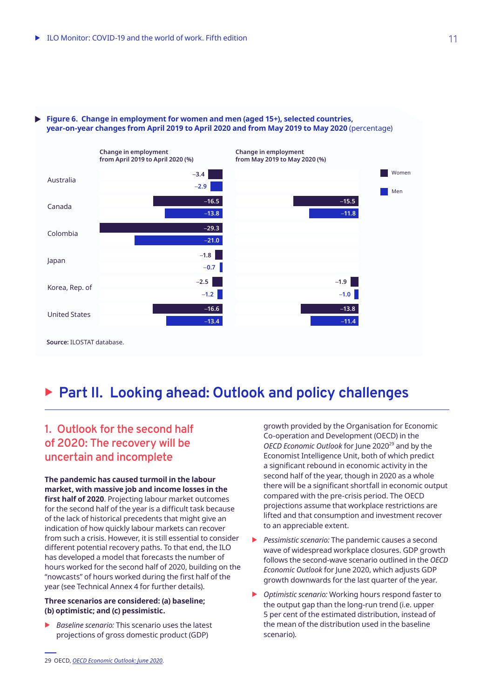

#### **Figure 6. Change in employment for women and men (aged 15+), selected countries,** Þ **year-on-year changes from April 2019 to April 2020 and from May 2019 to May 2020** (percentage)

# <sup>X</sup> **Part II. Looking ahead: Outlook and policy challenges**

## **1. Outlook for the second half of 2020: The recovery will be uncertain and incomplete**

**The pandemic has caused turmoil in the labour market, with massive job and income losses in the first half of 2020**. Projecting labour market outcomes for the second half of the year is a difficult task because of the lack of historical precedents that might give an indication of how quickly labour markets can recover from such a crisis. However, it is still essential to consider different potential recovery paths. To that end, the ILO has developed a model that forecasts the number of hours worked for the second half of 2020, building on the "nowcasts" of hours worked during the first half of the year (see Technical Annex 4 for further details).

#### **Three scenarios are considered: (a) baseline; (b) optimistic; and (c) pessimistic.**

*Baseline scenario:* This scenario uses the latest projections of gross domestic product (GDP)

growth provided by the Organisation for Economic Co‑operation and Development (OECD) in the OECD Economic Outlook for June 2020<sup>29</sup> and by the Economist Intelligence Unit, both of which predict a significant rebound in economic activity in the second half of the year, though in 2020 as a whole there will be a significant shortfall in economic output compared with the pre-crisis period. The OECD projections assume that workplace restrictions are lifted and that consumption and investment recover to an appreciable extent.

- **EX Pessimistic scenario: The pandemic causes a second** wave of widespread workplace closures. GDP growth follows the second-wave scenario outlined in the *OECD Economic Outlook* for June 2020, which adjusts GDP growth downwards for the last quarter of the year.
- ▶ *Optimistic scenario:* Working hours respond faster to the output gap than the long-run trend (i.e. upper 5 per cent of the estimated distribution, instead of the mean of the distribution used in the baseline scenario).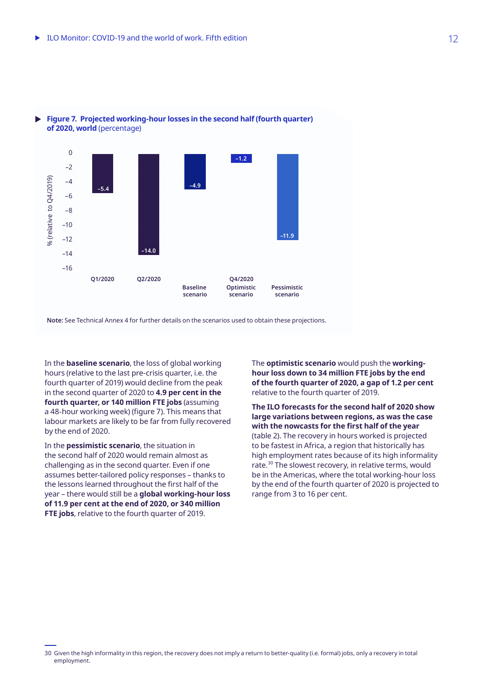



**Note:** See Technical Annex 4 for further details on the scenarios used to obtain these projections.

In the **baseline scenario**, the loss of global working hours (relative to the last pre‑crisis quarter, i.e. the fourth quarter of 2019) would decline from the peak in the second quarter of 2020 to **4.9 per cent in the fourth quarter, or 140 million FTE jobs** (assuming a 48-hour working week) (figure 7). This means that labour markets are likely to be far from fully recovered by the end of 2020.

In the **pessimistic scenario**, the situation in the second half of 2020 would remain almost as challenging as in the second quarter. Even if one assumes better-tailored policy responses – thanks to the lessons learned throughout the first half of the year – there would still be a **global working-hour loss of 11.9 per cent at the end of 2020, or 340 million FTE jobs**, relative to the fourth quarter of 2019.

The **optimistic scenario** would push the **workinghour loss down to 34 million FTE jobs by the end of the fourth quarter of 2020, a gap of 1.2 per cent**  relative to the fourth quarter of 2019.

**The ILO forecasts for the second half of 2020 show large variations between regions, as was the case with the nowcasts for the first half of the year**  (table 2). The recovery in hours worked is projected to be fastest in Africa, a region that historically has high employment rates because of its high informality rate.<sup>30</sup> The slowest recovery, in relative terms, would be in the Americas, where the total working-hour loss by the end of the fourth quarter of 2020 is projected to range from 3 to 16 per cent.

<sup>30</sup> Given the high informality in this region, the recovery does not imply a return to better-quality (i.e. formal) jobs, only a recovery in total employment.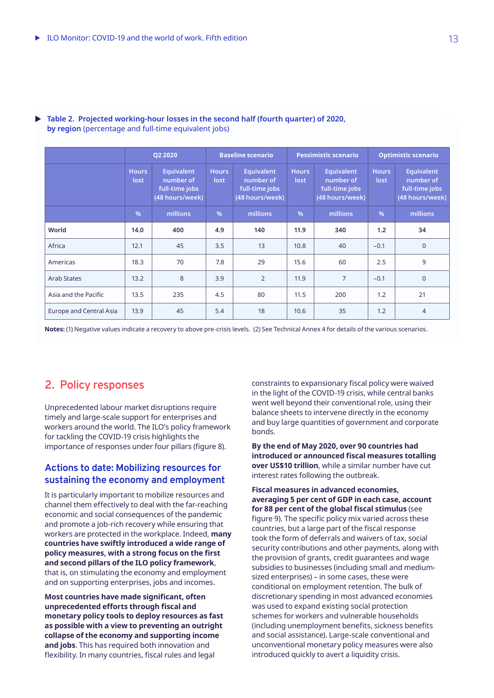|                                | Q2 2020              |                                                                     | <b>Baseline scenario</b> |                                                                     | <b>Pessimistic scenario</b> |                                                                     | <b>Optimistic scenario</b> |                                                                     |
|--------------------------------|----------------------|---------------------------------------------------------------------|--------------------------|---------------------------------------------------------------------|-----------------------------|---------------------------------------------------------------------|----------------------------|---------------------------------------------------------------------|
|                                | <b>Hours</b><br>lost | <b>Equivalent</b><br>number of<br>full-time jobs<br>(48 hours/week) | <b>Hours</b><br>lost     | <b>Equivalent</b><br>number of<br>full-time jobs<br>(48 hours/week) | <b>Hours</b><br>lost        | <b>Equivalent</b><br>number of<br>full-time jobs<br>(48 hours/week) | <b>Hours</b><br>lost       | <b>Equivalent</b><br>number of<br>full-time jobs<br>(48 hours/week) |
|                                | $\frac{0}{6}$        | millions                                                            | $\frac{9}{6}$            | millions                                                            | $\frac{0}{6}$               | millions                                                            | %                          | millions                                                            |
| World                          | 14.0                 | 400                                                                 | 4.9                      | 140                                                                 | 11.9                        | 340                                                                 | 1.2                        | 34                                                                  |
| Africa                         | 12.1                 | 45                                                                  | 3.5                      | 13                                                                  | 10.8                        | 40                                                                  | $-0.1$                     | $\mathbf{0}$                                                        |
| Americas                       | 18.3                 | 70                                                                  | 7.8                      | 29                                                                  | 15.6                        | 60                                                                  | 2.5                        | 9                                                                   |
| <b>Arab States</b>             | 13.2                 | 8                                                                   | 3.9                      | $\overline{2}$                                                      | 11.9                        | $\overline{7}$                                                      | $-0.1$                     | $\overline{0}$                                                      |
| Asia and the Pacific           | 13.5                 | 235                                                                 | 4.5                      | 80                                                                  | 11.5                        | 200                                                                 | 1.2                        | 21                                                                  |
| <b>Europe and Central Asia</b> | 13.9                 | 45                                                                  | 5.4                      | 18                                                                  | 10.6                        | 35                                                                  | 1.2                        | $\overline{4}$                                                      |

### **Table 2. Projected working-hour losses in the second half (fourth quarter) of 2020, by region** (percentage and full-time equivalent jobs)

**Notes:** (1) Negative values indicate a recovery to above pre-crisis levels. (2) See Technical Annex 4 for details of the various scenarios.

## **2. Policy responses**

Unprecedented labour market disruptions require timely and large-scale support for enterprises and workers around the world. The ILO's policy framework for tackling the COVID-19 crisis highlights the importance of responses under four pillars (figure 8).

## **Actions to date: Mobilizing resources for sustaining the economy and employment**

It is particularly important to mobilize resources and channel them effectively to deal with the far-reaching economic and social consequences of the pandemic and promote a job-rich recovery while ensuring that workers are protected in the workplace. Indeed, **many countries have swiftly introduced a wide range of policy measures, with a strong focus on the first and second pillars of the ILO policy framework**, that is, on stimulating the economy and employment and on supporting enterprises, jobs and incomes.

**Most countries have made significant, often unprecedented efforts through fiscal and monetary policy tools to deploy resources as fast as possible with a view to preventing an outright collapse of the economy and supporting income and jobs**. This has required both innovation and flexibility. In many countries, fiscal rules and legal

constraints to expansionary fiscal policy were waived in the light of the COVID-19 crisis, while central banks went well beyond their conventional role, using their balance sheets to intervene directly in the economy and buy large quantities of government and corporate bonds.

**By the end of May 2020, over 90 countries had introduced or announced fiscal measures totalling over US\$10 trillion**, while a similar number have cut interest rates following the outbreak.

**Fiscal measures in advanced economies, averaging 5 per cent of GDP in each case, account for 88 per cent of the global fiscal stimulus** (see figure 9). The specific policy mix varied across these countries, but a large part of the fiscal response took the form of deferrals and waivers of tax, social security contributions and other payments, along with the provision of grants, credit guarantees and wage subsidies to businesses (including small and mediumsized enterprises) – in some cases, these were conditional on employment retention. The bulk of discretionary spending in most advanced economies was used to expand existing social protection schemes for workers and vulnerable households (including unemployment benefits, sickness benefits and social assistance). Large-scale conventional and unconventional monetary policy measures were also introduced quickly to avert a liquidity crisis.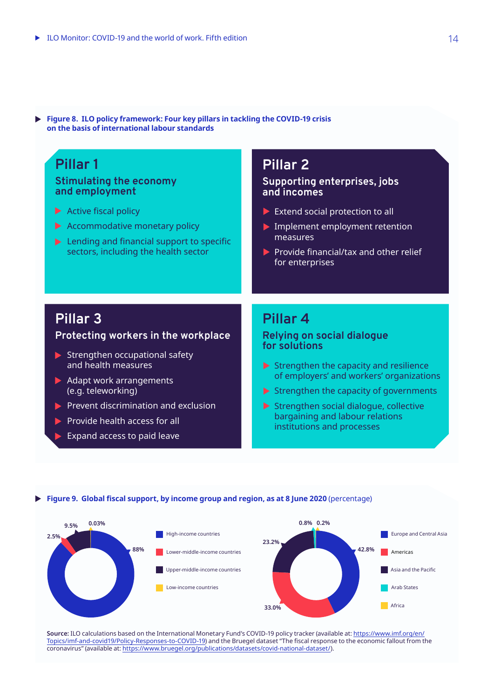| <b>Produce Co.</b> The policy mannewerk, Four Key philars in tacking the COVID-19 Grisis<br>on the basis of international labour standards |                           |
|--------------------------------------------------------------------------------------------------------------------------------------------|---------------------------|
| Pillar 1                                                                                                                                   | Pillar 21                 |
| <b>Stimulating the economy</b>                                                                                                             | Supporting enterprises, j |

**Figure 8. ILO policy framework: Four key pillars in tackling the COVID-19 crisis** 

 $\blacktriangleright$  Active fiscal policy

**and employment**

- Accommodative monetary policy
- $\blacktriangleright$  Lending and financial support to specific sectors, including the health sector

### **Supporting enterprises, jobs and incomes**

- $\blacktriangleright$  Extend social protection to all
- Implement employment retention measures
- $\blacktriangleright$  Provide financial/tax and other relief for enterprises

## **Pillar 3**

## **Protecting workers in the workplace**

- $\blacktriangleright$  Strengthen occupational safety and health measures
- $\blacktriangleright$  Adapt work arrangements (e.g. teleworking)
- $\blacktriangleright$  Prevent discrimination and exclusion
- $\blacktriangleright$  Provide health access for all
- Expand access to paid leave

## **Pillar 4**

### **Relying on social dialogue for solutions**

- $\blacktriangleright$  Strengthen the capacity and resilience of employers' and workers' organizations
- $\blacktriangleright$  Strengthen the capacity of governments
- $\blacktriangleright$  Strengthen social dialogue, collective bargaining and labour relations institutions and processes

#### **Figure 9. Global fiscal support, by income group and region, as at 8 June 2020** (percentage)



**Source:** ILO calculations based on the International Monetary Fund's COVID-19 policy tracker (available at: [https://www.imf.org/en/](https://www.imf.org/en/Topics/imf-and-covid19/Policy-Responses-to-COVID-19) [Topics/imf-and-covid19/Policy-Responses-to-COVID-19](https://www.imf.org/en/Topics/imf-and-covid19/Policy-Responses-to-COVID-19)) and the Bruegel dataset "The fiscal response to the economic fallout from the coronavirus" (available at: [https://www.bruegel.org/publications/datasets/covid-national-dataset/\)](https://www.bruegel.org/publications/datasets/covid-national-dataset/).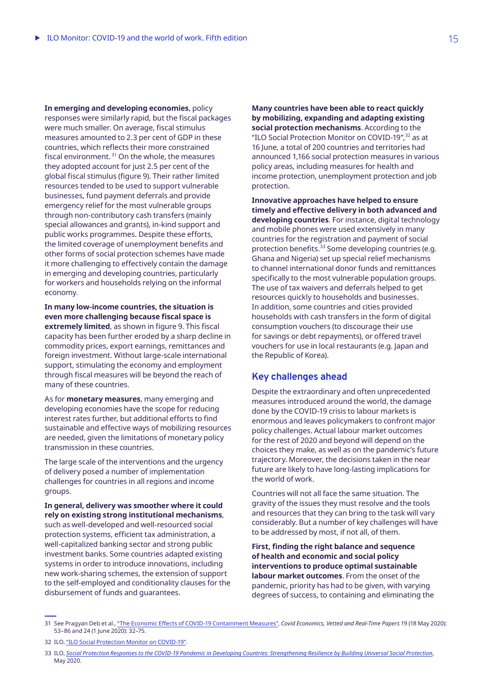**In emerging and developing economies**, policy responses were similarly rapid, but the fiscal packages were much smaller. On average, fiscal stimulus measures amounted to 2.3 per cent of GDP in these countries, which reflects their more constrained fiscal environment. $31$  On the whole, the measures they adopted account for just 2.5 per cent of the global fiscal stimulus (figure 9). Their rather limited resources tended to be used to support vulnerable businesses, fund payment deferrals and provide emergency relief for the most vulnerable groups through non-contributory cash transfers (mainly special allowances and grants), in-kind support and public works programmes. Despite these efforts, the limited coverage of unemployment benefits and other forms of social protection schemes have made it more challenging to effectively contain the damage in emerging and developing countries, particularly for workers and households relying on the informal economy.

**In many low-income countries, the situation is even more challenging because fiscal space is extremely limited**, as shown in figure 9. This fiscal capacity has been further eroded by a sharp decline in commodity prices, export earnings, remittances and foreign investment. Without large-scale international support, stimulating the economy and employment through fiscal measures will be beyond the reach of many of these countries.

As for **monetary measures**, many emerging and developing economies have the scope for reducing interest rates further, but additional efforts to find sustainable and effective ways of mobilizing resources are needed, given the limitations of monetary policy transmission in these countries.

The large scale of the interventions and the urgency of delivery posed a number of implementation challenges for countries in all regions and income groups.

**In general, delivery was smoother where it could rely on existing strong institutional mechanisms**, such as well-developed and well-resourced social protection systems, efficient tax administration, a well-capitalized banking sector and strong public investment banks. Some countries adapted existing systems in order to introduce innovations, including new work-sharing schemes, the extension of support to the self-employed and conditionality clauses for the disbursement of funds and guarantees.

**Many countries have been able to react quickly by mobilizing, expanding and adapting existing social protection mechanisms**. According to the "ILO Social Protection Monitor on COVID-19",<sup>32</sup> as at 16 June, a total of 200 countries and territories had announced 1,166 social protection measures in various policy areas, including measures for health and income protection, unemployment protection and job protection.

**Innovative approaches have helped to ensure timely and effective delivery in both advanced and developing countries**. For instance, digital technology and mobile phones were used extensively in many countries for the registration and payment of social protection benefits.<sup>33</sup> Some developing countries (e.g. Ghana and Nigeria) set up special relief mechanisms to channel international donor funds and remittances specifically to the most vulnerable population groups. The use of tax waivers and deferrals helped to get resources quickly to households and businesses. In addition, some countries and cities provided households with cash transfers in the form of digital consumption vouchers (to discourage their use for savings or debt repayments), or offered travel vouchers for use in local restaurants (e.g. Japan and the Republic of Korea).

### **Key challenges ahead**

Despite the extraordinary and often unprecedented measures introduced around the world, the damage done by the COVID-19 crisis to labour markets is enormous and leaves policymakers to confront major policy challenges. Actual labour market outcomes for the rest of 2020 and beyond will depend on the choices they make, as well as on the pandemic's future trajectory. Moreover, the decisions taken in the near future are likely to have long-lasting implications for the world of work.

Countries will not all face the same situation. The gravity of the issues they must resolve and the tools and resources that they can bring to the task will vary considerably. But a number of key challenges will have to be addressed by most, if not all, of them.

**First, finding the right balance and sequence of health and economic and social policy interventions to produce optimal sustainable labour market outcomes**. From the onset of the pandemic, priority has had to be given, with varying degrees of success, to containing and eliminating the

<sup>31</sup> See Pragyan Deb et al., ["The Economic Effects of COVID-19 Containment Measures"](https://voxeu.org/article/economic-effects-covid-19-containment-measures), *Covid Economics, Vetted and Real-Time Papers* 19 (18 May 2020): 53–86 and 24 (1 June 2020): 32–75.

<sup>32</sup> ILO, ["ILO Social Protection Monitor on COVID-19"](https://www.social-protection.org/gimi/ShowWiki.action?id=3417).

<sup>33</sup> ILO, *[Social Protection Responses to the COVID-19 Pandemic in Developing Countries: Strengthening Resilience by Building Universal Social Protection](https://www.ilo.org/wcmsp5/groups/public/---ed_protect/---soc_sec/documents/publication/wcms_744612.pdf)*, May 2020.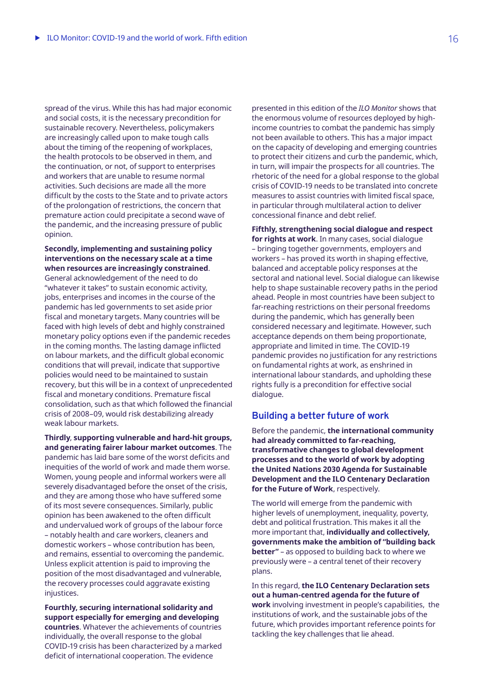spread of the virus. While this has had major economic and social costs, it is the necessary precondition for sustainable recovery. Nevertheless, policymakers are increasingly called upon to make tough calls about the timing of the reopening of workplaces, the health protocols to be observed in them, and the continuation, or not, of support to enterprises and workers that are unable to resume normal activities. Such decisions are made all the more difficult by the costs to the State and to private actors of the prolongation of restrictions, the concern that premature action could precipitate a second wave of the pandemic, and the increasing pressure of public opinion.

**Secondly, implementing and sustaining policy interventions on the necessary scale at a time when resources are increasingly constrained**.

General acknowledgement of the need to do "whatever it takes" to sustain economic activity, jobs, enterprises and incomes in the course of the pandemic has led governments to set aside prior fiscal and monetary targets. Many countries will be faced with high levels of debt and highly constrained monetary policy options even if the pandemic recedes in the coming months. The lasting damage inflicted on labour markets, and the difficult global economic conditions that will prevail, indicate that supportive policies would need to be maintained to sustain recovery, but this will be in a context of unprecedented fiscal and monetary conditions. Premature fiscal consolidation, such as that which followed the financial crisis of 2008–09, would risk destabilizing already weak labour markets.

**Thirdly**, **supporting vulnerable and hard-hit groups, and generating fairer labour market outcomes**. The pandemic has laid bare some of the worst deficits and inequities of the world of work and made them worse. Women, young people and informal workers were all severely disadvantaged before the onset of the crisis, and they are among those who have suffered some of its most severe consequences. Similarly, public opinion has been awakened to the often difficult and undervalued work of groups of the labour force – notably health and care workers, cleaners and domestic workers – whose contribution has been, and remains, essential to overcoming the pandemic. Unless explicit attention is paid to improving the position of the most disadvantaged and vulnerable, the recovery processes could aggravate existing injustices.

**Fourthly, securing international solidarity and support especially for emerging and developing countries**. Whatever the achievements of countries individually, the overall response to the global COVID-19 crisis has been characterized by a marked deficit of international cooperation. The evidence

presented in this edition of the *ILO Monitor* shows that the enormous volume of resources deployed by highincome countries to combat the pandemic has simply not been available to others. This has a major impact on the capacity of developing and emerging countries to protect their citizens and curb the pandemic, which, in turn, will impair the prospects for all countries. The rhetoric of the need for a global response to the global crisis of COVID-19 needs to be translated into concrete measures to assist countries with limited fiscal space, in particular through multilateral action to deliver concessional finance and debt relief.

**Fifthly, strengthening social dialogue and respect for rights at work**. In many cases, social dialogue – bringing together governments, employers and workers – has proved its worth in shaping effective, balanced and acceptable policy responses at the sectoral and national level. Social dialogue can likewise help to shape sustainable recovery paths in the period ahead. People in most countries have been subject to far-reaching restrictions on their personal freedoms during the pandemic, which has generally been considered necessary and legitimate. However, such acceptance depends on them being proportionate, appropriate and limited in time. The COVID-19 pandemic provides no justification for any restrictions on fundamental rights at work, as enshrined in international labour standards, and upholding these rights fully is a precondition for effective social dialogue.

### **Building a better future of work**

Before the pandemic, **the international community had already committed to far-reaching, transformative changes to global development processes and to the world of work by adopting the United Nations 2030 Agenda for Sustainable Development and the ILO Centenary Declaration for the Future of Work**, respectively.

The world will emerge from the pandemic with higher levels of unemployment, inequality, poverty, debt and political frustration. This makes it all the more important that, **individually and collectively, governments make the ambition of "building back better"** – as opposed to building back to where we previously were – a central tenet of their recovery plans.

In this regard, **the ILO Centenary Declaration sets out a human-centred agenda for the future of work** involving investment in people's capabilities, the institutions of work, and the sustainable jobs of the future, which provides important reference points for tackling the key challenges that lie ahead.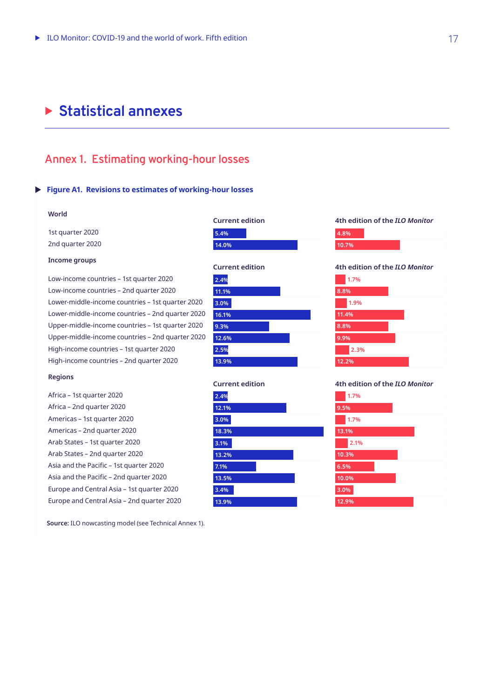## **Example 3 Statistical annexes**

## **Annex 1. Estimating working-hour losses**

### **Figure A1. Revisions to estimates of working-hour losses**

#### **World**

1st quarter 2020 2nd quarter 2020

#### **Income groups**

Low-income countries – 1st quarter 2020 Low-income countries – 2nd quarter 2020 Lower-middle-income countries – 1st quarter 2020 Lower-middle-income countries – 2nd quarter 2020 Upper-middle-income countries – 1st quarter 2020 Upper-middle-income countries – 2nd quarter 2020 High-income countries – 1st quarter 2020 High-income countries – 2nd quarter 2020

#### **Regions**

Africa – 1st quarter 2020 Africa – 2nd quarter 2020 Americas – 1st quarter 2020 Americas – 2nd quarter 2020 Arab States – 1st quarter 2020 Arab States – 2nd quarter 2020 Asia and the Pacific – 1st quarter 2020 Asia and the Pacific – 2nd quarter 2020 Europe and Central Asia – 1st quarter 2020 Europe and Central Asia – 2nd quarter 2020

**Source:** ILO nowcasting model (see Technical Annex 1).

| <b>Current edition</b> |  |  |  |  |  |
|------------------------|--|--|--|--|--|
| 5.4%                   |  |  |  |  |  |
| 14.0%                  |  |  |  |  |  |





**4th edition of the** *ILO Monitor*

#### **4th edition of the** *ILO Monitor*

|      | 1.7%  |  |
|------|-------|--|
| 8.8% |       |  |
|      | 1.9%  |  |
|      | 11.4% |  |
| 8.8% |       |  |
| 9.9% |       |  |
|      | 2.3%  |  |
|      | 12.2% |  |

#### **4th edition of the** *ILO Monitor*

| 1.7%  |  |
|-------|--|
| 9.5%  |  |
| 1.7%  |  |
| 13.1% |  |
| 2.1%  |  |
| 10.3% |  |
| 6.5%  |  |
| 10.0% |  |
| 3.0%  |  |
| 12.9% |  |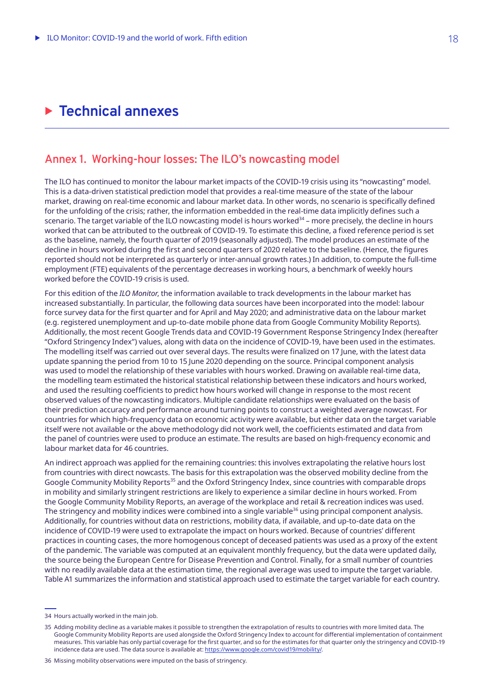## **Example 2 Technical annexes**

## **Annex 1. Working-hour losses: The ILO's nowcasting model**

The ILO has continued to monitor the labour market impacts of the COVID-19 crisis using its "nowcasting" model. This is a data-driven statistical prediction model that provides a real-time measure of the state of the labour market, drawing on real-time economic and labour market data. In other words, no scenario is specifically defined for the unfolding of the crisis; rather, the information embedded in the real-time data implicitly defines such a scenario. The target variable of the ILO nowcasting model is hours worked $34$  – more precisely, the decline in hours worked that can be attributed to the outbreak of COVID-19. To estimate this decline, a fixed reference period is set as the baseline, namely, the fourth quarter of 2019 (seasonally adjusted). The model produces an estimate of the decline in hours worked during the first and second quarters of 2020 relative to the baseline. (Hence, the figures reported should not be interpreted as quarterly or inter-annual growth rates.) In addition, to compute the full‑time employment (FTE) equivalents of the percentage decreases in working hours, a benchmark of weekly hours worked before the COVID-19 crisis is used.

For this edition of the *ILO Monitor*, the information available to track developments in the labour market has increased substantially. In particular, the following data sources have been incorporated into the model: labour force survey data for the first quarter and for April and May 2020; and administrative data on the labour market (e.g. registered unemployment and up-to-date mobile phone data from Google Community Mobility Reports). Additionally, the most recent Google Trends data and COVID‑19 Government Response Stringency Index (hereafter "Oxford Stringency Index") values, along with data on the incidence of COVID-19, have been used in the estimates. The modelling itself was carried out over several days. The results were finalized on 17 June, with the latest data update spanning the period from 10 to 15 June 2020 depending on the source. Principal component analysis was used to model the relationship of these variables with hours worked. Drawing on available real-time data, the modelling team estimated the historical statistical relationship between these indicators and hours worked, and used the resulting coefficients to predict how hours worked will change in response to the most recent observed values of the nowcasting indicators. Multiple candidate relationships were evaluated on the basis of their prediction accuracy and performance around turning points to construct a weighted average nowcast. For countries for which high-frequency data on economic activity were available, but either data on the target variable itself were not available or the above methodology did not work well, the coefficients estimated and data from the panel of countries were used to produce an estimate. The results are based on high-frequency economic and labour market data for 46 countries.

An indirect approach was applied for the remaining countries: this involves extrapolating the relative hours lost from countries with direct nowcasts. The basis for this extrapolation was the observed mobility decline from the Google Community Mobility Reports<sup>35</sup> and the Oxford Stringency Index, since countries with comparable drops in mobility and similarly stringent restrictions are likely to experience a similar decline in hours worked. From the Google Community Mobility Reports, an average of the workplace and retail & recreation indices was used. The stringency and mobility indices were combined into a single variable<sup>36</sup> using principal component analysis. Additionally, for countries without data on restrictions, mobility data, if available, and up-to-date data on the incidence of COVID‑19 were used to extrapolate the impact on hours worked. Because of countries' different practices in counting cases, the more homogenous concept of deceased patients was used as a proxy of the extent of the pandemic. The variable was computed at an equivalent monthly frequency, but the data were updated daily, the source being the European Centre for Disease Prevention and Control. Finally, for a small number of countries with no readily available data at the estimation time, the regional average was used to impute the target variable. Table A1 summarizes the information and statistical approach used to estimate the target variable for each country.

<sup>34</sup> Hours actually worked in the main job.

<sup>35</sup> Adding mobility decline as a variable makes it possible to strengthen the extrapolation of results to countries with more limited data. The Google Community Mobility Reports are used alongside the Oxford Stringency Index to account for differential implementation of containment measures. This variable has only partial coverage for the first quarter, and so for the estimates for that quarter only the stringency and COVID‑19 incidence data are used. The data source is available at:<https://www.google.com/covid19/mobility/>.

<sup>36</sup> Missing mobility observations were imputed on the basis of stringency.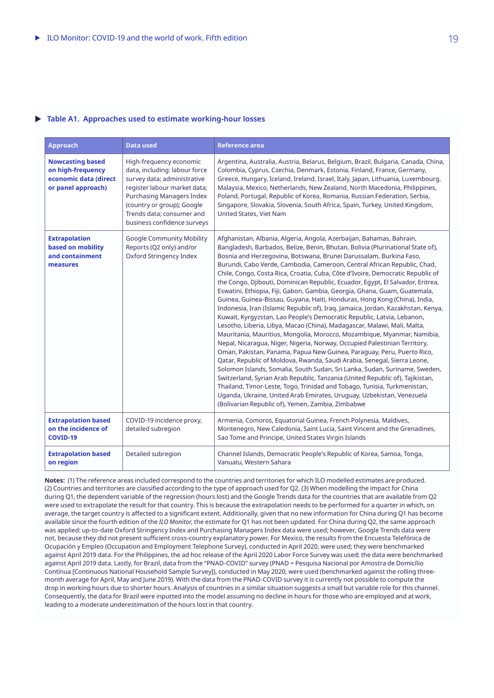#### **Table A1. Approaches used to estimate working-hour losses** $\blacktriangleright$

| <b>Approach</b>                                                                             | <b>Data used</b>                                                                                                                                                                                                                                      | <b>Reference area</b>                                                                                                                                                                                                                                                                                                                                                                                                                                                                                                                                                                                                                                                                                                                                                                                                                                                                                                                                                                                                                                                                                                                                                                                                                                                                                                                                                                                                                                                                                                                                                   |
|---------------------------------------------------------------------------------------------|-------------------------------------------------------------------------------------------------------------------------------------------------------------------------------------------------------------------------------------------------------|-------------------------------------------------------------------------------------------------------------------------------------------------------------------------------------------------------------------------------------------------------------------------------------------------------------------------------------------------------------------------------------------------------------------------------------------------------------------------------------------------------------------------------------------------------------------------------------------------------------------------------------------------------------------------------------------------------------------------------------------------------------------------------------------------------------------------------------------------------------------------------------------------------------------------------------------------------------------------------------------------------------------------------------------------------------------------------------------------------------------------------------------------------------------------------------------------------------------------------------------------------------------------------------------------------------------------------------------------------------------------------------------------------------------------------------------------------------------------------------------------------------------------------------------------------------------------|
| <b>Nowcasting based</b><br>on high-frequency<br>economic data (direct<br>or panel approach) | High-frequency economic<br>data, including: labour force<br>survey data; administrative<br>register labour market data;<br><b>Purchasing Managers Index</b><br>(country or group); Google<br>Trends data; consumer and<br>business confidence surveys | Argentina, Australia, Austria, Belarus, Belgium, Brazil, Bulgaria, Canada, China,<br>Colombia, Cyprus, Czechia, Denmark, Estonia, Finland, France, Germany,<br>Greece, Hungary, Iceland, Ireland, Israel, Italy, Japan, Lithuania, Luxembourg,<br>Malaysia, Mexico, Netherlands, New Zealand, North Macedonia, Philippines,<br>Poland, Portugal, Republic of Korea, Romania, Russian Federation, Serbia,<br>Singapore, Slovakia, Slovenia, South Africa, Spain, Turkey, United Kingdom,<br>United States, Viet Nam                                                                                                                                                                                                                                                                                                                                                                                                                                                                                                                                                                                                                                                                                                                                                                                                                                                                                                                                                                                                                                                      |
| <b>Extrapolation</b><br>based on mobility<br>and containment<br>measures                    | Google Community Mobility<br>Reports (Q2 only) and/or<br>Oxford Stringency Index                                                                                                                                                                      | Afghanistan, Albania, Algeria, Angola, Azerbaijan, Bahamas, Bahrain,<br>Bangladesh, Barbados, Belize, Benin, Bhutan, Bolivia (Plurinational State of),<br>Bosnia and Herzegovina, Botswana, Brunei Darussalam, Burkina Faso,<br>Burundi, Cabo Verde, Cambodia, Cameroon, Central African Republic, Chad,<br>Chile, Congo, Costa Rica, Croatia, Cuba, Côte d'Ivoire, Democratic Republic of<br>the Congo, Djibouti, Dominican Republic, Ecuador, Egypt, El Salvador, Eritrea,<br>Eswatini, Ethiopia, Fiji, Gabon, Gambia, Georgia, Ghana, Guam, Guatemala,<br>Guinea, Guinea-Bissau, Guyana, Haiti, Honduras, Hong Kong (China), India,<br>Indonesia, Iran (Islamic Republic of), Iraq, Jamaica, Jordan, Kazakhstan, Kenya,<br>Kuwait, Kyrgyzstan, Lao People's Democratic Republic, Latvia, Lebanon,<br>Lesotho, Liberia, Libya, Macao (China), Madagascar, Malawi, Mali, Malta,<br>Mauritania, Mauritius, Mongolia, Morocco, Mozambique, Myanmar, Namibia,<br>Nepal, Nicaragua, Niger, Nigeria, Norway, Occupied Palestinian Territory,<br>Oman, Pakistan, Panama, Papua New Guinea, Paraguay, Peru, Puerto Rico,<br>Qatar, Republic of Moldova, Rwanda, Saudi Arabia, Senegal, Sierra Leone,<br>Solomon Islands, Somalia, South Sudan, Sri Lanka, Sudan, Suriname, Sweden,<br>Switzerland, Syrian Arab Republic, Tanzania (United Republic of), Tajikistan,<br>Thailand, Timor-Leste, Togo, Trinidad and Tobago, Tunisia, Turkmenistan,<br>Uganda, Ukraine, United Arab Emirates, Uruguay, Uzbekistan, Venezuela<br>(Bolivarian Republic of), Yemen, Zambia, Zimbabwe |
| <b>Extrapolation based</b><br>on the incidence of<br><b>COVID-19</b>                        | COVID-19 incidence proxy,<br>detailed subregion                                                                                                                                                                                                       | Armenia, Comoros, Equatorial Guinea, French Polynesia, Maldives,<br>Montenegro, New Caledonia, Saint Lucia, Saint Vincent and the Grenadines,<br>Sao Tome and Principe, United States Virgin Islands                                                                                                                                                                                                                                                                                                                                                                                                                                                                                                                                                                                                                                                                                                                                                                                                                                                                                                                                                                                                                                                                                                                                                                                                                                                                                                                                                                    |
| <b>Extrapolation based</b><br>on region                                                     | Detailed subregion                                                                                                                                                                                                                                    | Channel Islands, Democratic People's Republic of Korea, Samoa, Tonga,<br>Vanuatu, Western Sahara                                                                                                                                                                                                                                                                                                                                                                                                                                                                                                                                                                                                                                                                                                                                                                                                                                                                                                                                                                                                                                                                                                                                                                                                                                                                                                                                                                                                                                                                        |

**Notes:** (1) The reference areas included correspond to the countries and territories for which ILO modelled estimates are produced. (2) Countries and territories are classified according to the type of approach used for Q2. (3) When modelling the impact for China during Q1, the dependent variable of the regression (hours lost) and the Google Trends data for the countries that are available from Q2 were used to extrapolate the result for that country. This is because the extrapolation needs to be performed for a quarter in which, on average, the target country is affected to a significant extent. Additionally, given that no new information for China during Q1 has become available since the fourth edition of the *ILO Monitor*, the estimate for Q1 has not been updated. For China during Q2, the same approach was applied: up-to-date Oxford Stringency Index and Purchasing Managers Index data were used; however, Google Trends data were not, because they did not present sufficient cross-country explanatory power. For Mexico, the results from the Encuesta Telefónica de Ocupación y Empleo (Occupation and Employment Telephone Survey), conducted in April 2020, were used; they were benchmarked against April 2019 data. For the Philippines, the ad hoc release of the April 2020 Labor Force Survey was used; the data were benchmarked against April 2019 data. Lastly, for Brazil, data from the "PNAD-COVID" survey (PNAD = Pesquisa Nacional por Amostra de Domicílio Contínua [Continuous National Household Sample Survey]), conducted in May 2020, were used (benchmarked against the rolling threemonth average for April, May and June 2019). With the data from the PNAD-COVID survey it is currently not possible to compute the drop in working hours due to shorter hours. Analysis of countries in a similar situation suggests a small but variable role for this channel. Consequently, the data for Brazil were inputted into the model assuming no decline in hours for those who are employed and at work, leading to a moderate underestimation of the hours lost in that country.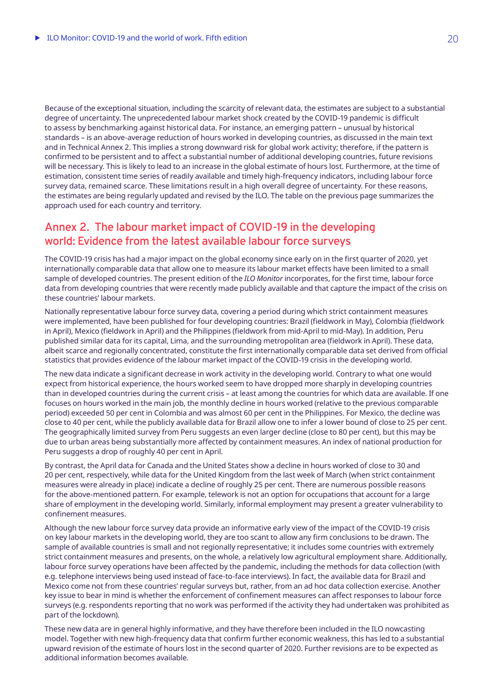Because of the exceptional situation, including the scarcity of relevant data, the estimates are subject to a substantial degree of uncertainty. The unprecedented labour market shock created by the COVID-19 pandemic is difficult to assess by benchmarking against historical data. For instance, an emerging pattern – unusual by historical standards – is an above-average reduction of hours worked in developing countries, as discussed in the main text and in Technical Annex 2. This implies a strong downward risk for global work activity; therefore, if the pattern is confirmed to be persistent and to affect a substantial number of additional developing countries, future revisions will be necessary. This is likely to lead to an increase in the global estimate of hours lost. Furthermore, at the time of estimation, consistent time series of readily available and timely high-frequency indicators, including labour force survey data, remained scarce. These limitations result in a high overall degree of uncertainty. For these reasons, the estimates are being regularly updated and revised by the ILO. The table on the previous page summarizes the approach used for each country and territory.

## **Annex 2. The labour market impact of COVID-19 in the developing world: Evidence from the latest available labour force surveys**

The COVID-19 crisis has had a major impact on the global economy since early on in the first quarter of 2020, yet internationally comparable data that allow one to measure its labour market effects have been limited to a small sample of developed countries. The present edition of the *ILO Monitor* incorporates, for the first time, labour force data from developing countries that were recently made publicly available and that capture the impact of the crisis on these countries' labour markets.

Nationally representative labour force survey data, covering a period during which strict containment measures were implemented, have been published for four developing countries: Brazil (fieldwork in May), Colombia (fieldwork in April), Mexico (fieldwork in April) and the Philippines (fieldwork from mid-April to mid-May). In addition, Peru published similar data for its capital, Lima, and the surrounding metropolitan area (fieldwork in April). These data, albeit scarce and regionally concentrated, constitute the first internationally comparable data set derived from official statistics that provides evidence of the labour market impact of the COVID-19 crisis in the developing world.

The new data indicate a significant decrease in work activity in the developing world. Contrary to what one would expect from historical experience, the hours worked seem to have dropped more sharply in developing countries than in developed countries during the current crisis – at least among the countries for which data are available. If one focuses on hours worked in the main job, the monthly decline in hours worked (relative to the previous comparable period) exceeded 50 per cent in Colombia and was almost 60 per cent in the Philippines. For Mexico, the decline was close to 40 per cent, while the publicly available data for Brazil allow one to infer a lower bound of close to 25 per cent. The geographically limited survey from Peru suggests an even larger decline (close to 80 per cent), but this may be due to urban areas being substantially more affected by containment measures. An index of national production for Peru suggests a drop of roughly 40 per cent in April.

By contrast, the April data for Canada and the United States show a decline in hours worked of close to 30 and 20 per cent, respectively, while data for the United Kingdom from the last week of March (when strict containment measures were already in place) indicate a decline of roughly 25 per cent. There are numerous possible reasons for the above-mentioned pattern. For example, telework is not an option for occupations that account for a large share of employment in the developing world. Similarly, informal employment may present a greater vulnerability to confinement measures.

Although the new labour force survey data provide an informative early view of the impact of the COVID-19 crisis on key labour markets in the developing world, they are too scant to allow any firm conclusions to be drawn. The sample of available countries is small and not regionally representative; it includes some countries with extremely strict containment measures and presents, on the whole, a relatively low agricultural employment share. Additionally, labour force survey operations have been affected by the pandemic, including the methods for data collection (with e.g. telephone interviews being used instead of face-to-face interviews). In fact, the available data for Brazil and Mexico come not from these countries' regular surveys but, rather, from an ad hoc data collection exercise. Another key issue to bear in mind is whether the enforcement of confinement measures can affect responses to labour force surveys (e.g. respondents reporting that no work was performed if the activity they had undertaken was prohibited as part of the lockdown).

These new data are in general highly informative, and they have therefore been included in the ILO nowcasting model. Together with new high-frequency data that confirm further economic weakness, this has led to a substantial upward revision of the estimate of hours lost in the second quarter of 2020. Further revisions are to be expected as additional information becomes available.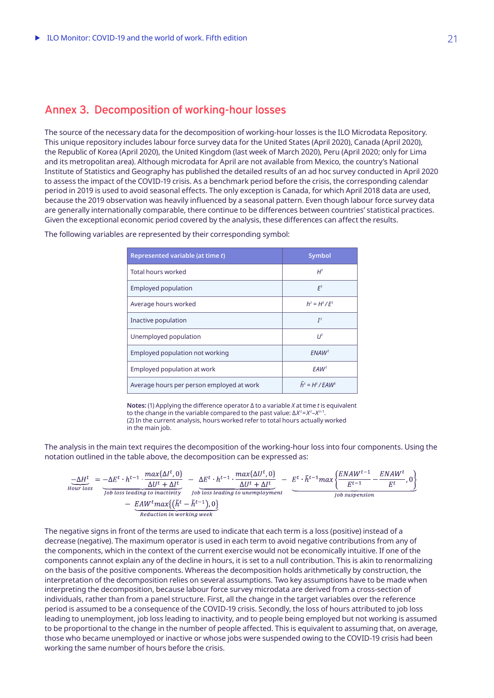## **Annex 3. Decomposition of working-hour losses**

The source of the necessary data for the decomposition of working-hour losses is the ILO Microdata Repository. This unique repository includes labour force survey data for the United States (April 2020), Canada (April 2020), the Republic of Korea (April 2020), the United Kingdom (last week of March 2020), Peru (April 2020; only for Lima and its metropolitan area). Although microdata for April are not available from Mexico, the country's National Institute of Statistics and Geography has published the detailed results of an ad hoc survey conducted in April 2020 to assess the impact of the COVID-19 crisis. As a benchmark period before the crisis, the corresponding calendar period in 2019 is used to avoid seasonal effects. The only exception is Canada, for which April 2018 data are used, because the 2019 observation was heavily influenced by a seasonal pattern. Even though labour force survey data are generally internationally comparable, there continue to be differences between countries' statistical practices. Given the exceptional economic period covered by the analysis, these differences can affect the results.

| Represented variable (at time t)          | Symbol                                 |
|-------------------------------------------|----------------------------------------|
| Total hours worked                        | H <sup>t</sup>                         |
| <b>Employed population</b>                | $F^t$                                  |
| Average hours worked                      | $h^t = H^t / F^t$                      |
| Inactive population                       | $I^t$                                  |
| Unemployed population                     | $U^t$                                  |
| Employed population not working           | FNAW <sup>t</sup>                      |
| Employed population at work               | FAW <sup>t</sup>                       |
| Average hours per person employed at work | $\tilde{h}^t = H^t$ / FAW <sup>t</sup> |

The following variables are represented by their corresponding symbol:

**Notes:** (1) Applying the difference operator ∆ to a variable *X* at time *t* is equivalent to the change in the variable compared to the past value: ∆*X  <sup>t</sup>* =*X  <sup>t</sup>* –*X  <sup>t</sup>*–1. (2) In the current analysis, hours worked refer to total hours actually worked in the main job.

The analysis in the main text requires the decomposition of the working-hour loss into four components. Using the notation outlined in the table above, the decomposition can be expressed as:

$$
\frac{-\Delta H^t}{\Delta U^t \text{ hours loss}} = \frac{-\Delta E^t \cdot h^{t-1} \cdot \frac{max\{\Delta I^t, 0\}}{\Delta U^t + \Delta I^t}}{\frac{\Delta U^t + \Delta I^t}{\Delta U^t \text{ hours}} \cdot \frac{\Delta E^t \cdot h^{t-1} \cdot \frac{max\{\Delta U^t, 0\}}{\Delta U^t + \Delta I^t}}{\Delta U^t \text{ hours loss leading to inactivity}} - \underbrace{E^t \cdot \tilde{h}^{t-1} \text{max} \left\{ \frac{ENAW^{t-1}}{E^{t-1}} - \frac{ENAW^t}{E^t}, 0 \right\}}_{\text{Job suspension}}}{\frac{-EMV^t \text{max}\left\{ (\tilde{h}^t - \tilde{h}^{t-1}), 0 \right\}}{Reduction in working week}}
$$

The negative signs in front of the terms are used to indicate that each term is a loss (positive) instead of a decrease (negative). The maximum operator is used in each term to avoid negative contributions from any of the components, which in the context of the current exercise would not be economically intuitive. If one of the components cannot explain any of the decline in hours, it is set to a null contribution. This is akin to renormalizing on the basis of the positive components. Whereas the decomposition holds arithmetically by construction, the interpretation of the decomposition relies on several assumptions. Two key assumptions have to be made when interpreting the decomposition, because labour force survey microdata are derived from a cross-section of individuals, rather than from a panel structure. First, all the change in the target variables over the reference period is assumed to be a consequence of the COVID-19 crisis. Secondly, the loss of hours attributed to job loss leading to unemployment, job loss leading to inactivity, and to people being employed but not working is assumed to be proportional to the change in the number of people affected. This is equivalent to assuming that, on average, those who became unemployed or inactive or whose jobs were suspended owing to the COVID-19 crisis had been working the same number of hours before the crisis.